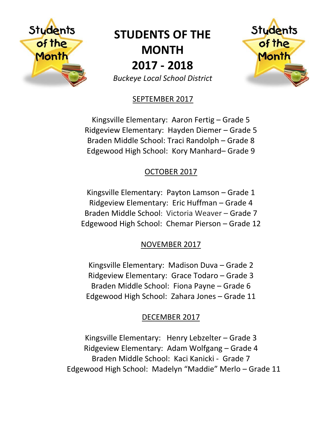

# **STUDENTS OF THE MONTH 2017 - 2018**

Students

of the

Month

*Buckeye Local School District*

### SEPTEMBER 2017

Kingsville Elementary: Aaron Fertig – Grade 5 Ridgeview Elementary: Hayden Diemer – Grade 5 Braden Middle School: Traci Randolph – Grade 8 Edgewood High School: Kory Manhard– Grade 9

## OCTOBER 2017

Kingsville Elementary: Payton Lamson – Grade 1 Ridgeview Elementary: Eric Huffman – Grade 4 Braden Middle School: Victoria Weaver – Grade 7 Edgewood High School: Chemar Pierson – Grade 12

## NOVEMBER 2017

Kingsville Elementary: Madison Duva – Grade 2 Ridgeview Elementary: Grace Todaro – Grade 3 Braden Middle School: Fiona Payne – Grade 6 Edgewood High School: Zahara Jones – Grade 11

## DECEMBER 2017

Kingsville Elementary: Henry Lebzelter – Grade 3 Ridgeview Elementary: Adam Wolfgang – Grade 4 Braden Middle School: Kaci Kanicki - Grade 7 Edgewood High School: Madelyn "Maddie" Merlo – Grade 11